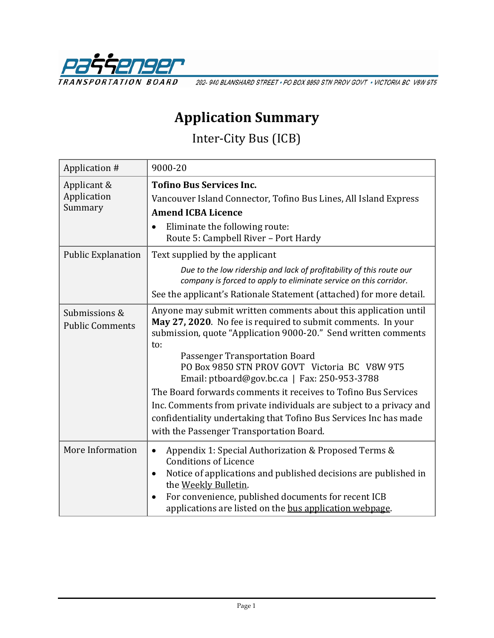

202-940 BLANSHARD STREET · PO BOX 9850 STN PROV GOVT · VICTORIA BC V8W 9T5

## **Application Summary**

Inter-City Bus (ICB)

| Application #                           | 9000-20                                                                                                                                                                                                                                                                                                                                                                                                                                                                                                                                                                                               |
|-----------------------------------------|-------------------------------------------------------------------------------------------------------------------------------------------------------------------------------------------------------------------------------------------------------------------------------------------------------------------------------------------------------------------------------------------------------------------------------------------------------------------------------------------------------------------------------------------------------------------------------------------------------|
| Applicant &                             | <b>Tofino Bus Services Inc.</b>                                                                                                                                                                                                                                                                                                                                                                                                                                                                                                                                                                       |
| Application                             | Vancouver Island Connector, Tofino Bus Lines, All Island Express                                                                                                                                                                                                                                                                                                                                                                                                                                                                                                                                      |
| Summary                                 | <b>Amend ICBA Licence</b>                                                                                                                                                                                                                                                                                                                                                                                                                                                                                                                                                                             |
|                                         | Eliminate the following route:<br>Route 5: Campbell River - Port Hardy                                                                                                                                                                                                                                                                                                                                                                                                                                                                                                                                |
| <b>Public Explanation</b>               | Text supplied by the applicant                                                                                                                                                                                                                                                                                                                                                                                                                                                                                                                                                                        |
|                                         | Due to the low ridership and lack of profitability of this route our<br>company is forced to apply to eliminate service on this corridor.                                                                                                                                                                                                                                                                                                                                                                                                                                                             |
|                                         | See the applicant's Rationale Statement (attached) for more detail.                                                                                                                                                                                                                                                                                                                                                                                                                                                                                                                                   |
| Submissions &<br><b>Public Comments</b> | Anyone may submit written comments about this application until<br>May 27, 2020. No fee is required to submit comments. In your<br>submission, quote "Application 9000-20." Send written comments<br>to:<br>Passenger Transportation Board<br>PO Box 9850 STN PROV GOVT Victoria BC V8W 9T5<br>Email: ptboard@gov.bc.ca   Fax: 250-953-3788<br>The Board forwards comments it receives to Tofino Bus Services<br>Inc. Comments from private individuals are subject to a privacy and<br>confidentiality undertaking that Tofino Bus Services Inc has made<br>with the Passenger Transportation Board. |
| More Information                        | Appendix 1: Special Authorization & Proposed Terms &<br>$\bullet$<br><b>Conditions of Licence</b><br>Notice of applications and published decisions are published in<br>the Weekly Bulletin.<br>For convenience, published documents for recent ICB<br>applications are listed on the bus application webpage.                                                                                                                                                                                                                                                                                        |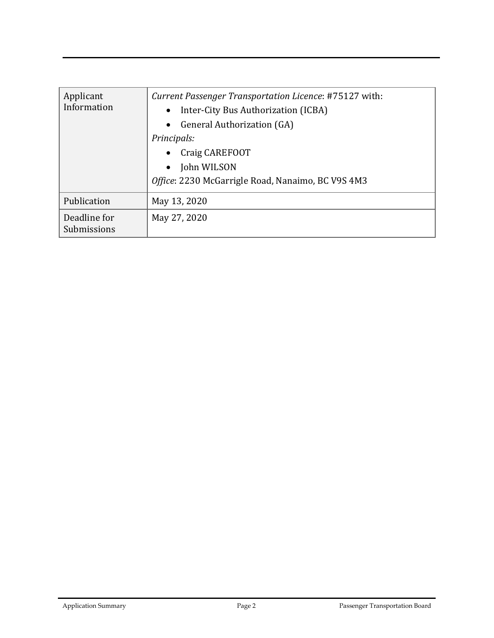| Applicant<br>Information    | Current Passenger Transportation Licence: #75127 with:<br>Inter-City Bus Authorization (ICBA)<br>$\bullet$<br>• General Authorization (GA)<br>Principals:<br>Craig CAREFOOT<br>$\bullet$<br>John WILSON<br>$\bullet$<br>Office: 2230 McGarrigle Road, Nanaimo, BC V9S 4M3 |
|-----------------------------|---------------------------------------------------------------------------------------------------------------------------------------------------------------------------------------------------------------------------------------------------------------------------|
| Publication                 | May 13, 2020                                                                                                                                                                                                                                                              |
| Deadline for<br>Submissions | May 27, 2020                                                                                                                                                                                                                                                              |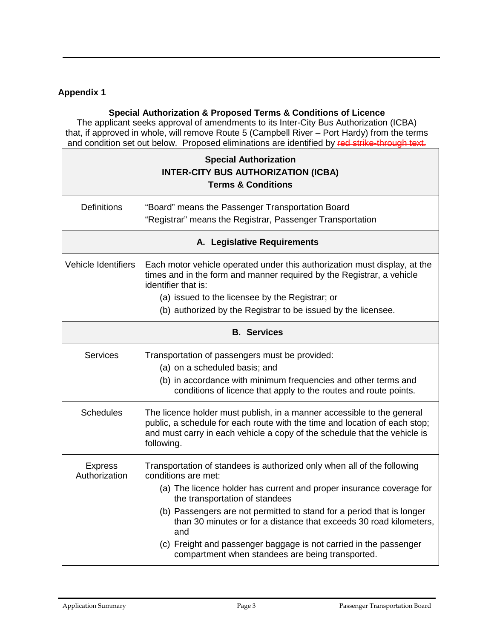### **Appendix 1**

#### **Special Authorization & Proposed Terms & Conditions of Licence**

The applicant seeks approval of amendments to its Inter-City Bus Authorization (ICBA) that, if approved in whole, will remove Route 5 (Campbell River – Port Hardy) from the terms and condition set out below. Proposed eliminations are identified by red strike-through text.

| <b>Special Authorization</b><br><b>INTER-CITY BUS AUTHORIZATION (ICBA)</b><br><b>Terms &amp; Conditions</b> |                                                                                                                                                                                                                                                                                                                                                                                                                                                                                         |  |
|-------------------------------------------------------------------------------------------------------------|-----------------------------------------------------------------------------------------------------------------------------------------------------------------------------------------------------------------------------------------------------------------------------------------------------------------------------------------------------------------------------------------------------------------------------------------------------------------------------------------|--|
| <b>Definitions</b>                                                                                          | "Board" means the Passenger Transportation Board<br>"Registrar" means the Registrar, Passenger Transportation                                                                                                                                                                                                                                                                                                                                                                           |  |
| A. Legislative Requirements                                                                                 |                                                                                                                                                                                                                                                                                                                                                                                                                                                                                         |  |
| <b>Vehicle Identifiers</b>                                                                                  | Each motor vehicle operated under this authorization must display, at the<br>times and in the form and manner required by the Registrar, a vehicle<br>identifier that is:<br>(a) issued to the licensee by the Registrar; or<br>(b) authorized by the Registrar to be issued by the licensee.                                                                                                                                                                                           |  |
| <b>B.</b> Services                                                                                          |                                                                                                                                                                                                                                                                                                                                                                                                                                                                                         |  |
| <b>Services</b>                                                                                             | Transportation of passengers must be provided:<br>(a) on a scheduled basis; and<br>(b) in accordance with minimum frequencies and other terms and<br>conditions of licence that apply to the routes and route points.                                                                                                                                                                                                                                                                   |  |
| <b>Schedules</b>                                                                                            | The licence holder must publish, in a manner accessible to the general<br>public, a schedule for each route with the time and location of each stop;<br>and must carry in each vehicle a copy of the schedule that the vehicle is<br>following.                                                                                                                                                                                                                                         |  |
| <b>Express</b><br>Authorization                                                                             | Transportation of standees is authorized only when all of the following<br>conditions are met:<br>(a) The licence holder has current and proper insurance coverage for<br>the transportation of standees<br>(b) Passengers are not permitted to stand for a period that is longer<br>than 30 minutes or for a distance that exceeds 30 road kilometers,<br>and<br>(c) Freight and passenger baggage is not carried in the passenger<br>compartment when standees are being transported. |  |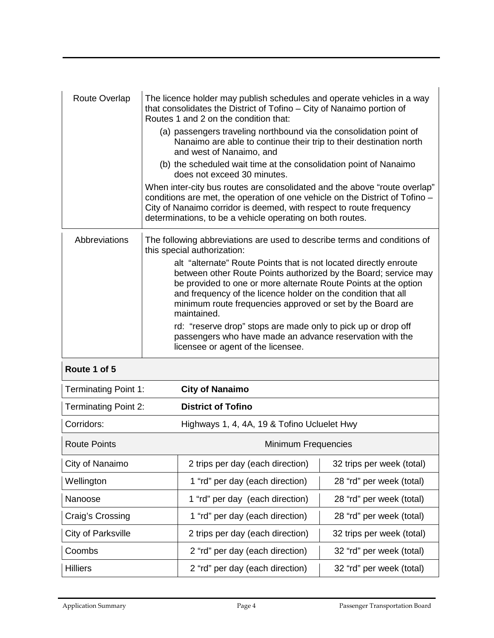| <b>Route Overlap</b>        | The licence holder may publish schedules and operate vehicles in a way<br>that consolidates the District of Tofino - City of Nanaimo portion of<br>Routes 1 and 2 on the condition that:                                                                                                                                                              |                                                                                                                                                                                                                                                                                               |                           |  |
|-----------------------------|-------------------------------------------------------------------------------------------------------------------------------------------------------------------------------------------------------------------------------------------------------------------------------------------------------------------------------------------------------|-----------------------------------------------------------------------------------------------------------------------------------------------------------------------------------------------------------------------------------------------------------------------------------------------|---------------------------|--|
|                             |                                                                                                                                                                                                                                                                                                                                                       | (a) passengers traveling northbound via the consolidation point of<br>Nanaimo are able to continue their trip to their destination north<br>and west of Nanaimo, and                                                                                                                          |                           |  |
|                             |                                                                                                                                                                                                                                                                                                                                                       | (b) the scheduled wait time at the consolidation point of Nanaimo<br>does not exceed 30 minutes.                                                                                                                                                                                              |                           |  |
|                             |                                                                                                                                                                                                                                                                                                                                                       | When inter-city bus routes are consolidated and the above "route overlap"<br>conditions are met, the operation of one vehicle on the District of Tofino -<br>City of Nanaimo corridor is deemed, with respect to route frequency<br>determinations, to be a vehicle operating on both routes. |                           |  |
| Abbreviations               | The following abbreviations are used to describe terms and conditions of<br>this special authorization:                                                                                                                                                                                                                                               |                                                                                                                                                                                                                                                                                               |                           |  |
|                             | alt "alternate" Route Points that is not located directly enroute<br>between other Route Points authorized by the Board; service may<br>be provided to one or more alternate Route Points at the option<br>and frequency of the licence holder on the condition that all<br>minimum route frequencies approved or set by the Board are<br>maintained. |                                                                                                                                                                                                                                                                                               |                           |  |
|                             | rd: "reserve drop" stops are made only to pick up or drop off<br>passengers who have made an advance reservation with the<br>licensee or agent of the licensee.                                                                                                                                                                                       |                                                                                                                                                                                                                                                                                               |                           |  |
| Route 1 of 5                |                                                                                                                                                                                                                                                                                                                                                       |                                                                                                                                                                                                                                                                                               |                           |  |
| <b>Terminating Point 1:</b> |                                                                                                                                                                                                                                                                                                                                                       | <b>City of Nanaimo</b>                                                                                                                                                                                                                                                                        |                           |  |
| <b>Terminating Point 2:</b> |                                                                                                                                                                                                                                                                                                                                                       | <b>District of Tofino</b>                                                                                                                                                                                                                                                                     |                           |  |
| Corridors:                  |                                                                                                                                                                                                                                                                                                                                                       | Highways 1, 4, 4A, 19 & Tofino Ucluelet Hwy                                                                                                                                                                                                                                                   |                           |  |
| <b>Route Points</b>         |                                                                                                                                                                                                                                                                                                                                                       | Minimum Frequencies                                                                                                                                                                                                                                                                           |                           |  |
| City of Nanaimo             |                                                                                                                                                                                                                                                                                                                                                       | 2 trips per day (each direction)                                                                                                                                                                                                                                                              | 32 trips per week (total) |  |
| Wellington                  |                                                                                                                                                                                                                                                                                                                                                       | 1 "rd" per day (each direction)                                                                                                                                                                                                                                                               | 28 "rd" per week (total)  |  |
| Nanoose                     |                                                                                                                                                                                                                                                                                                                                                       | 1 "rd" per day (each direction)                                                                                                                                                                                                                                                               | 28 "rd" per week (total)  |  |
| Craig's Crossing            |                                                                                                                                                                                                                                                                                                                                                       | 1 "rd" per day (each direction)                                                                                                                                                                                                                                                               | 28 "rd" per week (total)  |  |
| <b>City of Parksville</b>   |                                                                                                                                                                                                                                                                                                                                                       | 2 trips per day (each direction)                                                                                                                                                                                                                                                              | 32 trips per week (total) |  |
| Coombs                      |                                                                                                                                                                                                                                                                                                                                                       | 2 "rd" per day (each direction)                                                                                                                                                                                                                                                               | 32 "rd" per week (total)  |  |
| <b>Hilliers</b>             |                                                                                                                                                                                                                                                                                                                                                       | 2 "rd" per day (each direction)                                                                                                                                                                                                                                                               | 32 "rd" per week (total)  |  |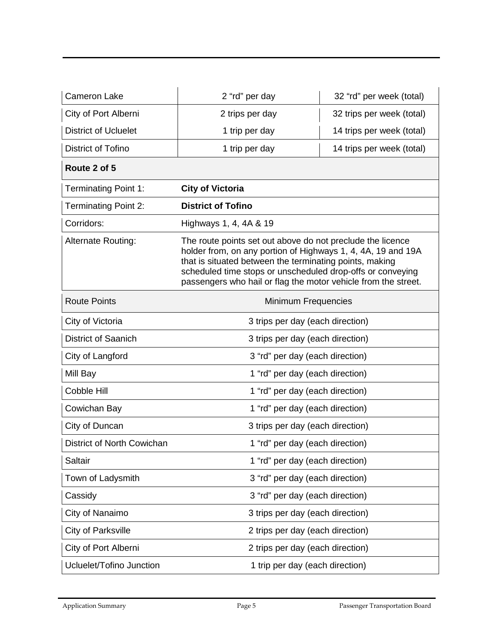| <b>Cameron Lake</b>         | 2 "rd" per day                                                                                                                                                                                                                                                                                                        | 32 "rd" per week (total)  |  |
|-----------------------------|-----------------------------------------------------------------------------------------------------------------------------------------------------------------------------------------------------------------------------------------------------------------------------------------------------------------------|---------------------------|--|
| City of Port Alberni        | 2 trips per day                                                                                                                                                                                                                                                                                                       | 32 trips per week (total) |  |
| <b>District of Ucluelet</b> | 1 trip per day                                                                                                                                                                                                                                                                                                        | 14 trips per week (total) |  |
| District of Tofino          | 1 trip per day                                                                                                                                                                                                                                                                                                        | 14 trips per week (total) |  |
| Route 2 of 5                |                                                                                                                                                                                                                                                                                                                       |                           |  |
| <b>Terminating Point 1:</b> | <b>City of Victoria</b>                                                                                                                                                                                                                                                                                               |                           |  |
| <b>Terminating Point 2:</b> | <b>District of Tofino</b>                                                                                                                                                                                                                                                                                             |                           |  |
| Corridors:                  | Highways 1, 4, 4A & 19                                                                                                                                                                                                                                                                                                |                           |  |
| Alternate Routing:          | The route points set out above do not preclude the licence<br>holder from, on any portion of Highways 1, 4, 4A, 19 and 19A<br>that is situated between the terminating points, making<br>scheduled time stops or unscheduled drop-offs or conveying<br>passengers who hail or flag the motor vehicle from the street. |                           |  |
| <b>Route Points</b>         | Minimum Frequencies                                                                                                                                                                                                                                                                                                   |                           |  |
| City of Victoria            | 3 trips per day (each direction)                                                                                                                                                                                                                                                                                      |                           |  |
| <b>District of Saanich</b>  | 3 trips per day (each direction)                                                                                                                                                                                                                                                                                      |                           |  |
| City of Langford            | 3 "rd" per day (each direction)                                                                                                                                                                                                                                                                                       |                           |  |
| Mill Bay                    | 1 "rd" per day (each direction)                                                                                                                                                                                                                                                                                       |                           |  |
| Cobble Hill                 | 1 "rd" per day (each direction)                                                                                                                                                                                                                                                                                       |                           |  |
| Cowichan Bay                | 1 "rd" per day (each direction)                                                                                                                                                                                                                                                                                       |                           |  |
| City of Duncan              | 3 trips per day (each direction)                                                                                                                                                                                                                                                                                      |                           |  |
| District of North Cowichan  | 1 "rd" per day (each direction)                                                                                                                                                                                                                                                                                       |                           |  |
| Saltair                     | 1 "rd" per day (each direction)                                                                                                                                                                                                                                                                                       |                           |  |
| Town of Ladysmith           | 3 "rd" per day (each direction)                                                                                                                                                                                                                                                                                       |                           |  |
| Cassidy                     | 3 "rd" per day (each direction)                                                                                                                                                                                                                                                                                       |                           |  |
| City of Nanaimo             | 3 trips per day (each direction)                                                                                                                                                                                                                                                                                      |                           |  |
| <b>City of Parksville</b>   | 2 trips per day (each direction)                                                                                                                                                                                                                                                                                      |                           |  |
| City of Port Alberni        | 2 trips per day (each direction)                                                                                                                                                                                                                                                                                      |                           |  |
| Ucluelet/Tofino Junction    | 1 trip per day (each direction)                                                                                                                                                                                                                                                                                       |                           |  |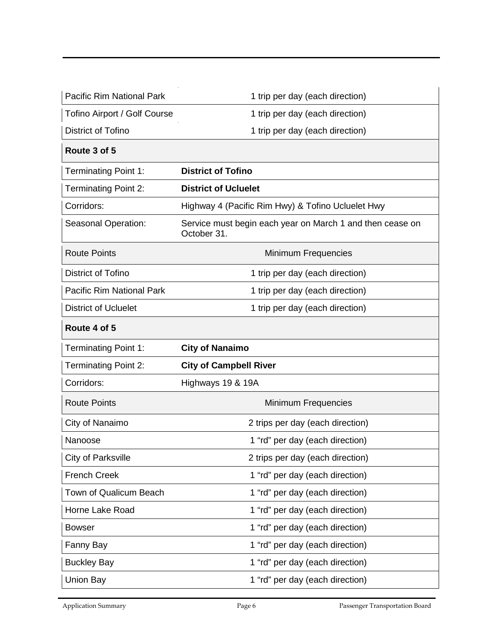| <b>Pacific Rim National Park</b> | 1 trip per day (each direction)                                          |  |
|----------------------------------|--------------------------------------------------------------------------|--|
| Tofino Airport / Golf Course     | 1 trip per day (each direction)                                          |  |
| District of Tofino               | 1 trip per day (each direction)                                          |  |
| Route 3 of 5                     |                                                                          |  |
| <b>Terminating Point 1:</b>      | <b>District of Tofino</b>                                                |  |
| <b>Terminating Point 2:</b>      | <b>District of Ucluelet</b>                                              |  |
| Corridors:                       | Highway 4 (Pacific Rim Hwy) & Tofino Ucluelet Hwy                        |  |
| Seasonal Operation:              | Service must begin each year on March 1 and then cease on<br>October 31. |  |
| <b>Route Points</b>              | Minimum Frequencies                                                      |  |
| District of Tofino               | 1 trip per day (each direction)                                          |  |
| <b>Pacific Rim National Park</b> | 1 trip per day (each direction)                                          |  |
| <b>District of Ucluelet</b>      | 1 trip per day (each direction)                                          |  |
| Route 4 of 5                     |                                                                          |  |
| <b>Terminating Point 1:</b>      | <b>City of Nanaimo</b>                                                   |  |
| <b>Terminating Point 2:</b>      | <b>City of Campbell River</b>                                            |  |
| Corridors:                       | Highways 19 & 19A                                                        |  |
| <b>Route Points</b>              | <b>Minimum Frequencies</b>                                               |  |
| City of Nanaimo                  | 2 trips per day (each direction)                                         |  |
| Nanoose                          | 1 "rd" per day (each direction)                                          |  |
|                                  |                                                                          |  |
| <b>City of Parksville</b>        | 2 trips per day (each direction)                                         |  |
| <b>French Creek</b>              | 1 "rd" per day (each direction)                                          |  |
| Town of Qualicum Beach           | 1 "rd" per day (each direction)                                          |  |
| Horne Lake Road                  | 1 "rd" per day (each direction)                                          |  |
| <b>Bowser</b>                    | 1 "rd" per day (each direction)                                          |  |
| Fanny Bay                        | 1 "rd" per day (each direction)                                          |  |
| <b>Buckley Bay</b>               | 1 "rd" per day (each direction)                                          |  |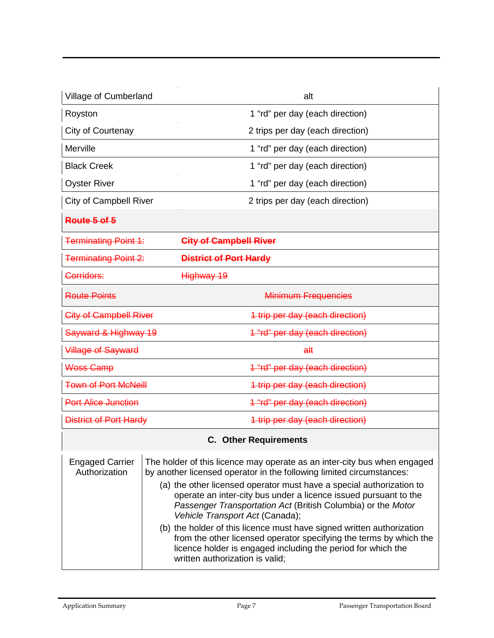| Village of Cumberland                                            | alt                                                                                                                                                                                                                                                                                                                                                                                                                                                                                                                                                                                                                                               |  |
|------------------------------------------------------------------|---------------------------------------------------------------------------------------------------------------------------------------------------------------------------------------------------------------------------------------------------------------------------------------------------------------------------------------------------------------------------------------------------------------------------------------------------------------------------------------------------------------------------------------------------------------------------------------------------------------------------------------------------|--|
| Royston                                                          | 1 "rd" per day (each direction)                                                                                                                                                                                                                                                                                                                                                                                                                                                                                                                                                                                                                   |  |
| City of Courtenay                                                | 2 trips per day (each direction)                                                                                                                                                                                                                                                                                                                                                                                                                                                                                                                                                                                                                  |  |
| Merville                                                         | 1 "rd" per day (each direction)                                                                                                                                                                                                                                                                                                                                                                                                                                                                                                                                                                                                                   |  |
| <b>Black Creek</b>                                               | 1 "rd" per day (each direction)                                                                                                                                                                                                                                                                                                                                                                                                                                                                                                                                                                                                                   |  |
| <b>Oyster River</b>                                              | 1 "rd" per day (each direction)                                                                                                                                                                                                                                                                                                                                                                                                                                                                                                                                                                                                                   |  |
| <b>City of Campbell River</b>                                    | 2 trips per day (each direction)                                                                                                                                                                                                                                                                                                                                                                                                                                                                                                                                                                                                                  |  |
| Route 5 of 5                                                     |                                                                                                                                                                                                                                                                                                                                                                                                                                                                                                                                                                                                                                                   |  |
| <b>City of Campbell River</b><br><b>Terminating Point 1:</b>     |                                                                                                                                                                                                                                                                                                                                                                                                                                                                                                                                                                                                                                                   |  |
| <b>Terminating Point 2:</b><br>District of Port Hardy            |                                                                                                                                                                                                                                                                                                                                                                                                                                                                                                                                                                                                                                                   |  |
| Corridors:                                                       | Highway 19                                                                                                                                                                                                                                                                                                                                                                                                                                                                                                                                                                                                                                        |  |
| <b>Route Points</b>                                              | <b>Minimum Frequencies</b>                                                                                                                                                                                                                                                                                                                                                                                                                                                                                                                                                                                                                        |  |
| <b>City of Campbell River</b><br>4 trip per day (each direction) |                                                                                                                                                                                                                                                                                                                                                                                                                                                                                                                                                                                                                                                   |  |
| Sayward & Highway 19                                             | 1 "rd" per day (each direction)                                                                                                                                                                                                                                                                                                                                                                                                                                                                                                                                                                                                                   |  |
| <b>Village of Sayward</b>                                        | a#                                                                                                                                                                                                                                                                                                                                                                                                                                                                                                                                                                                                                                                |  |
| Woss Camp<br>1 "rd" per day (each direction)                     |                                                                                                                                                                                                                                                                                                                                                                                                                                                                                                                                                                                                                                                   |  |
| <b>Town of Port McNeill</b><br>1 trip per day (each direction)   |                                                                                                                                                                                                                                                                                                                                                                                                                                                                                                                                                                                                                                                   |  |
| <b>Port Alice Junction</b>                                       | 1 "rd" per day (each direction)                                                                                                                                                                                                                                                                                                                                                                                                                                                                                                                                                                                                                   |  |
| District of Port Hardy                                           | 4 trip per day (each direction)                                                                                                                                                                                                                                                                                                                                                                                                                                                                                                                                                                                                                   |  |
|                                                                  | <b>C.</b> Other Requirements                                                                                                                                                                                                                                                                                                                                                                                                                                                                                                                                                                                                                      |  |
| <b>Engaged Carrier</b><br>Authorization                          | The holder of this licence may operate as an inter-city bus when engaged<br>by another licensed operator in the following limited circumstances:<br>(a) the other licensed operator must have a special authorization to<br>operate an inter-city bus under a licence issued pursuant to the<br>Passenger Transportation Act (British Columbia) or the Motor<br>Vehicle Transport Act (Canada);<br>(b) the holder of this licence must have signed written authorization<br>from the other licensed operator specifying the terms by which the<br>licence holder is engaged including the period for which the<br>written authorization is valid; |  |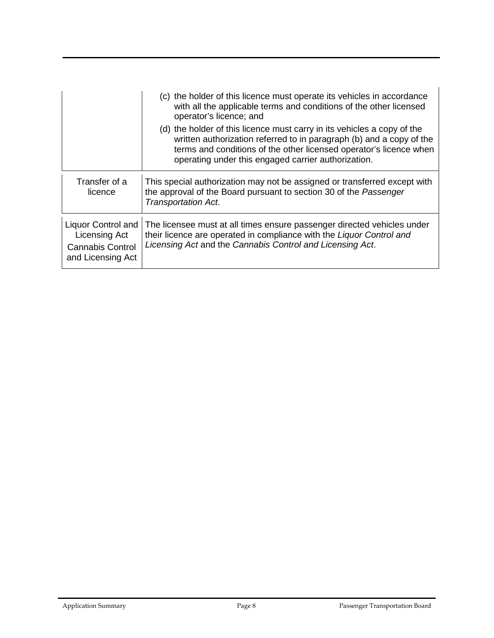|                                                                                            | (c) the holder of this licence must operate its vehicles in accordance<br>with all the applicable terms and conditions of the other licensed<br>operator's licence; and                                                                                                      |
|--------------------------------------------------------------------------------------------|------------------------------------------------------------------------------------------------------------------------------------------------------------------------------------------------------------------------------------------------------------------------------|
|                                                                                            | (d) the holder of this licence must carry in its vehicles a copy of the<br>written authorization referred to in paragraph (b) and a copy of the<br>terms and conditions of the other licensed operator's licence when<br>operating under this engaged carrier authorization. |
| Transfer of a<br>licence                                                                   | This special authorization may not be assigned or transferred except with<br>the approval of the Board pursuant to section 30 of the Passenger<br>Transportation Act.                                                                                                        |
| <b>Liquor Control and</b><br>Licensing Act<br><b>Cannabis Control</b><br>and Licensing Act | The licensee must at all times ensure passenger directed vehicles under<br>their licence are operated in compliance with the Liquor Control and<br>Licensing Act and the Cannabis Control and Licensing Act.                                                                 |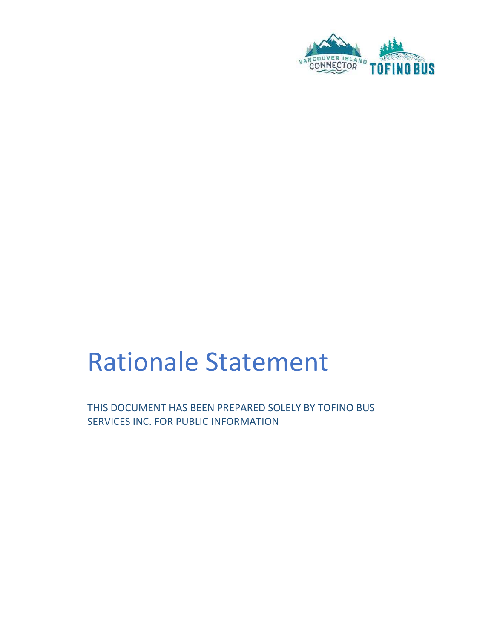

# Rationale Statement

THIS DOCUMENT HAS BEEN PREPARED SOLELY BY TOFINO BUS SERVICES INC. FOR PUBLIC INFORMATION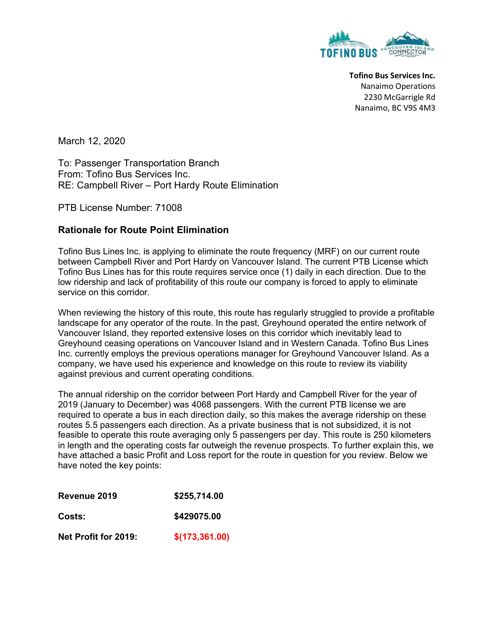

Tofino Bus Services Inc. Nanaimo Operations 2230 McGarrigle Rd Nanaimo, BC V9S 4M3

March 12, 2020

To: Passenger Transportation Branch From: Tofino Bus Services Inc. RE: Campbell River – Port Hardy Route Elimination

PTB License Number: 71008

#### Rationale for Route Point Elimination

Tofino Bus Lines Inc. is applying to eliminate the route frequency (MRF) on our current route between Campbell River and Port Hardy on Vancouver Island. The current PTB License which Tofino Bus Lines has for this route requires service once (1) daily in each direction. Due to the low ridership and lack of profitability of this route our company is forced to apply to eliminate service on this corridor.

When reviewing the history of this route, this route has regularly struggled to provide a profitable landscape for any operator of the route. In the past, Greyhound operated the entire network of Vancouver Island, they reported extensive loses on this corridor which inevitably lead to Greyhound ceasing operations on Vancouver Island and in Western Canada. Tofino Bus Lines Inc. currently employs the previous operations manager for Greyhound Vancouver Island. As a company, we have used his experience and knowledge on this route to review its viability against previous and current operating conditions.

The annual ridership on the corridor between Port Hardy and Campbell River for the year of 2019 (January to December) was 4068 passengers. With the current PTB license we are required to operate a bus in each direction daily, so this makes the average ridership on these routes 5.5 passengers each direction. As a private business that is not subsidized, it is not feasible to operate this route averaging only 5 passengers per day. This route is 250 kilometers in length and the operating costs far outweigh the revenue prospects. To further explain this, we have attached a basic Profit and Loss report for the route in question for you review. Below we have noted the key points:

| Revenue 2019         | \$255,714.00    |
|----------------------|-----------------|
| Costs:               | \$429075.00     |
| Net Profit for 2019: | \$(173, 361.00) |